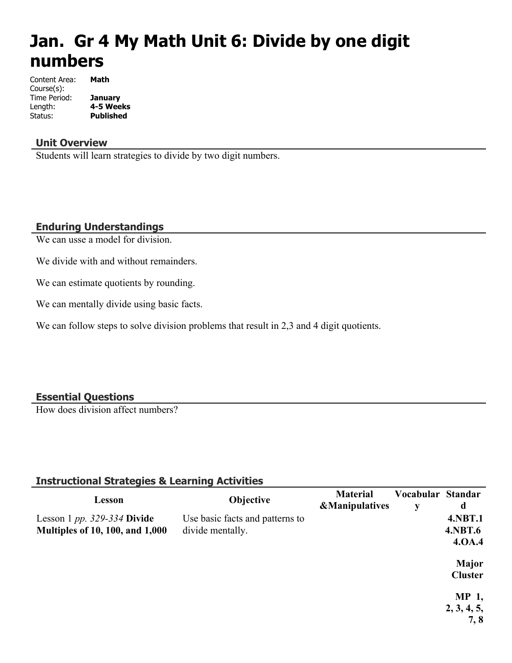# **Jan. Gr 4 My Math Unit 6: Divide by one digit numbers**

| Content Area: | Math             |
|---------------|------------------|
| Course(s):    |                  |
| Time Period:  | January          |
| Length:       | 4-5 Weeks        |
| Status:       | <b>Published</b> |

#### **Unit Overview**

Students will learn strategies to divide by two digit numbers.

#### **Enduring Understandings**

We can usse a model for division.

We divide with and without remainders.

We can estimate quotients by rounding.

We can mentally divide using basic facts.

We can follow steps to solve division problems that result in 2,3 and 4 digit quotients.

#### **Essential Questions**

How does division affect numbers?

#### **Instructional Strategies & Learning Activities**

| Lesson                                 | Objective                       | <b>Material</b><br><b>&amp;Manipulatives</b> | Vocabular Standar<br>y | d              |
|----------------------------------------|---------------------------------|----------------------------------------------|------------------------|----------------|
| Lesson 1 pp. $329-334$ Divide          | Use basic facts and patterns to |                                              |                        | <b>4.NBT.1</b> |
| <b>Multiples of 10, 100, and 1,000</b> | divide mentally.                |                                              |                        | <b>4.NBT.6</b> |
|                                        |                                 |                                              |                        | 4.0A.4         |
|                                        |                                 |                                              |                        | <b>Major</b>   |
|                                        |                                 |                                              |                        | <b>Cluster</b> |
|                                        |                                 |                                              |                        | <b>MP</b> 1,   |
|                                        |                                 |                                              |                        | 2, 3, 4, 5,    |
|                                        |                                 |                                              |                        | 7,8            |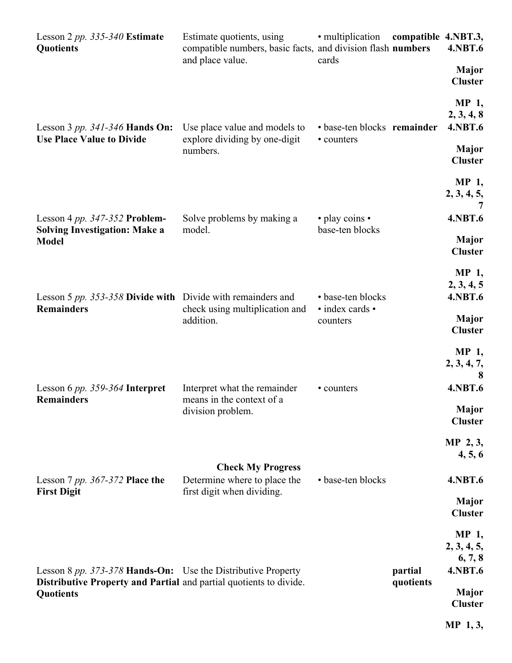| Lesson 2 pp. 335-340 Estimate<br><b>Quotients</b>                                                                                               | Estimate quotients, using<br>compatible numbers, basic facts, and division flash numbers<br>and place value. | • multiplication<br>cards            | compatible 4.NBT.3,  | <b>4.NBT.6</b>                                   |
|-------------------------------------------------------------------------------------------------------------------------------------------------|--------------------------------------------------------------------------------------------------------------|--------------------------------------|----------------------|--------------------------------------------------|
|                                                                                                                                                 |                                                                                                              |                                      |                      | <b>Major</b><br><b>Cluster</b>                   |
| Lesson 3 pp. $341-346$ Hands On:<br><b>Use Place Value to Divide</b>                                                                            | Use place value and models to                                                                                | • base-ten blocks remainder          |                      | <b>MP</b> 1,<br>2, 3, 4, 8<br><b>4.NBT.6</b>     |
|                                                                                                                                                 | explore dividing by one-digit<br>numbers.                                                                    | • counters                           |                      | <b>Major</b><br><b>Cluster</b>                   |
|                                                                                                                                                 |                                                                                                              |                                      |                      | MP 1,<br>2, 3, 4, 5,                             |
| Lesson 4 pp. $347-352$ Problem-<br><b>Solving Investigation: Make a</b><br><b>Model</b>                                                         | Solve problems by making a<br>model.                                                                         | • play coins •<br>base-ten blocks    |                      | <b>4.NBT.6</b><br><b>Major</b>                   |
|                                                                                                                                                 |                                                                                                              |                                      |                      | <b>Cluster</b><br>MP 1,                          |
| Lesson 5 pp. 353-358 Divide with Divide with remainders and<br><b>Remainders</b>                                                                | check using multiplication and                                                                               | • base-ten blocks<br>· index cards · |                      | 2, 3, 4, 5<br><b>4.NBT.6</b>                     |
|                                                                                                                                                 | addition.                                                                                                    | counters                             |                      | <b>Major</b><br><b>Cluster</b><br>MP 1,          |
| Lesson 6 $pp. 359-364$ Interpret                                                                                                                | Interpret what the remainder                                                                                 | • counters                           |                      | 2, 3, 4, 7,<br><b>4.NBT.6</b>                    |
| <b>Remainders</b>                                                                                                                               | means in the context of a<br>division problem.                                                               |                                      |                      | Major<br><b>Cluster</b>                          |
|                                                                                                                                                 |                                                                                                              |                                      |                      | $MP$ 2, 3,<br>4, 5, 6                            |
| Lesson 7 pp. 367-372 Place the<br><b>First Digit</b>                                                                                            | <b>Check My Progress</b><br>Determine where to place the<br>first digit when dividing.                       | • base-ten blocks                    |                      | <b>4.NBT.6</b>                                   |
|                                                                                                                                                 |                                                                                                              |                                      |                      | <b>Major</b><br><b>Cluster</b>                   |
|                                                                                                                                                 |                                                                                                              |                                      |                      | <b>MP</b> 1,<br>2, 3, 4, 5,<br>6, 7, 8           |
| Lesson 8 pp. 373-378 Hands-On: Use the Distributive Property<br>Distributive Property and Partial and partial quotients to divide.<br>Quotients |                                                                                                              |                                      | partial<br>quotients | <b>4.NBT.6</b><br><b>Major</b><br><b>Cluster</b> |
|                                                                                                                                                 |                                                                                                              |                                      |                      | $MP_1, 3,$                                       |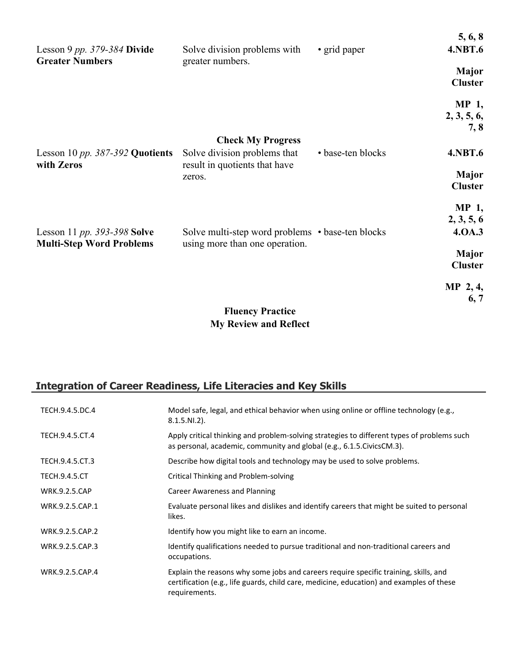| Lesson 9 pp. $379-384$ Divide                                  | Solve division problems with                                                       | • grid paper      | 5, 6, 8<br><b>4.NBT.6</b>           |
|----------------------------------------------------------------|------------------------------------------------------------------------------------|-------------------|-------------------------------------|
| <b>Greater Numbers</b>                                         | greater numbers.                                                                   |                   | <b>Major</b><br><b>Cluster</b>      |
|                                                                |                                                                                    |                   | <b>MP</b> 1,<br>2, 3, 5, 6,<br>7, 8 |
|                                                                | <b>Check My Progress</b>                                                           |                   |                                     |
| Lesson 10 pp. $387-392$ Quotients<br>with Zeros                | Solve division problems that<br>result in quotients that have                      | • base-ten blocks | <b>4.NBT.6</b>                      |
|                                                                | zeros.                                                                             |                   | <b>Major</b><br><b>Cluster</b>      |
|                                                                |                                                                                    |                   | <b>MP</b> 1,                        |
|                                                                |                                                                                    |                   | 2, 3, 5, 6                          |
| Lesson 11 pp. 393-398 Solve<br><b>Multi-Step Word Problems</b> | Solve multi-step word problems • base-ten blocks<br>using more than one operation. |                   | 4.0A.3                              |
|                                                                |                                                                                    |                   | <b>Major</b><br><b>Cluster</b>      |
|                                                                |                                                                                    |                   | $MP$ 2, 4,<br>6, 7                  |
|                                                                | <b>Fluency Practice</b>                                                            |                   |                                     |
|                                                                | <b>My Review and Reflect</b>                                                       |                   |                                     |

## **Integration of Career Readiness, Life Literacies and Key Skills**

| TECH.9.4.5.DC.4      | Model safe, legal, and ethical behavior when using online or offline technology (e.g.,<br>$8.1.5.NI.2$ ).                                                                                         |
|----------------------|---------------------------------------------------------------------------------------------------------------------------------------------------------------------------------------------------|
| TECH.9.4.5.CT.4      | Apply critical thinking and problem-solving strategies to different types of problems such<br>as personal, academic, community and global (e.g., 6.1.5. Civics CM.3).                             |
| TECH.9.4.5.CT.3      | Describe how digital tools and technology may be used to solve problems.                                                                                                                          |
| <b>TECH.9.4.5.CT</b> | Critical Thinking and Problem-solving                                                                                                                                                             |
| <b>WRK.9.2.5.CAP</b> | Career Awareness and Planning                                                                                                                                                                     |
| WRK.9.2.5.CAP.1      | Evaluate personal likes and dislikes and identify careers that might be suited to personal<br>likes.                                                                                              |
| WRK.9.2.5.CAP.2      | Identify how you might like to earn an income.                                                                                                                                                    |
| WRK.9.2.5.CAP.3      | Identify qualifications needed to pursue traditional and non-traditional careers and<br>occupations.                                                                                              |
| WRK.9.2.5.CAP.4      | Explain the reasons why some jobs and careers require specific training, skills, and<br>certification (e.g., life guards, child care, medicine, education) and examples of these<br>requirements. |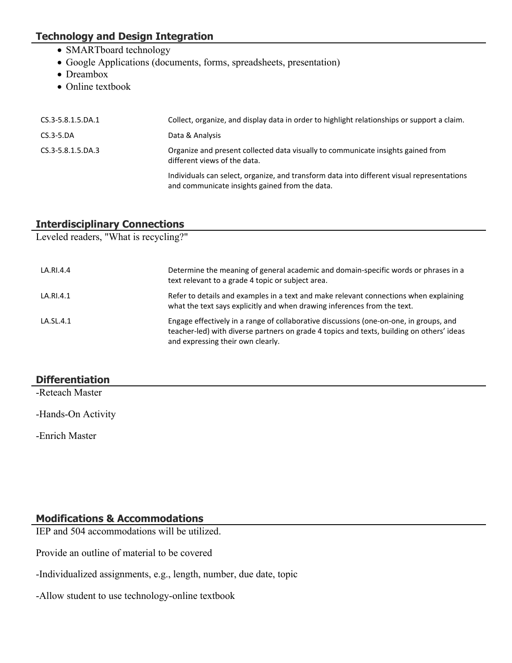#### **Technology and Design Integration**

- SMARTboard technology
- Google Applications (documents, forms, spreadsheets, presentation)
- Dreambox
- Online textbook

| Collect, organize, and display data in order to highlight relationships or support a claim.                                                  |
|----------------------------------------------------------------------------------------------------------------------------------------------|
| Data & Analysis                                                                                                                              |
| Organize and present collected data visually to communicate insights gained from<br>different views of the data.                             |
| Individuals can select, organize, and transform data into different visual representations<br>and communicate insights gained from the data. |
|                                                                                                                                              |

#### **Interdisciplinary Connections**

Leveled readers, "What is recycling?"

| LA.RI.4.4 | Determine the meaning of general academic and domain-specific words or phrases in a<br>text relevant to a grade 4 topic or subject area.                                                                                 |
|-----------|--------------------------------------------------------------------------------------------------------------------------------------------------------------------------------------------------------------------------|
| LA.RI.4.1 | Refer to details and examples in a text and make relevant connections when explaining<br>what the text says explicitly and when drawing inferences from the text.                                                        |
| LA.SL.4.1 | Engage effectively in a range of collaborative discussions (one-on-one, in groups, and<br>teacher-led) with diverse partners on grade 4 topics and texts, building on others' ideas<br>and expressing their own clearly. |

#### **Differentiation**

-Reteach Master

-Hands-On Activity

-Enrich Master

#### **Modifications & Accommodations**

IEP and 504 accommodations will be utilized.

Provide an outline of material to be covered

- -Individualized assignments, e.g., length, number, due date, topic
- -Allow student to use technology-online textbook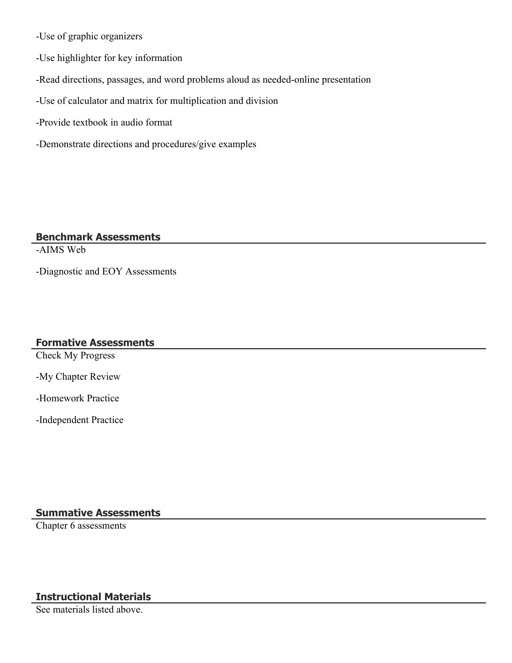-Use of graphic organizers

-Use highlighter for key information

-Read directions, passages, and word problems aloud as needed-online presentation

-Use of calculator and matrix for multiplication and division

-Provide textbook in audio format

-Demonstrate directions and procedures/give examples

#### **Benchmark Assessments**

-AIMS Web

-Diagnostic and EOY Assessments

#### **Formative Assessments**

Check My Progress

-My Chapter Review

-Homework Practice

-Independent Practice

#### **Summative Assessments**

Chapter 6 assessments

#### **Instructional Materials**

See materials listed above.